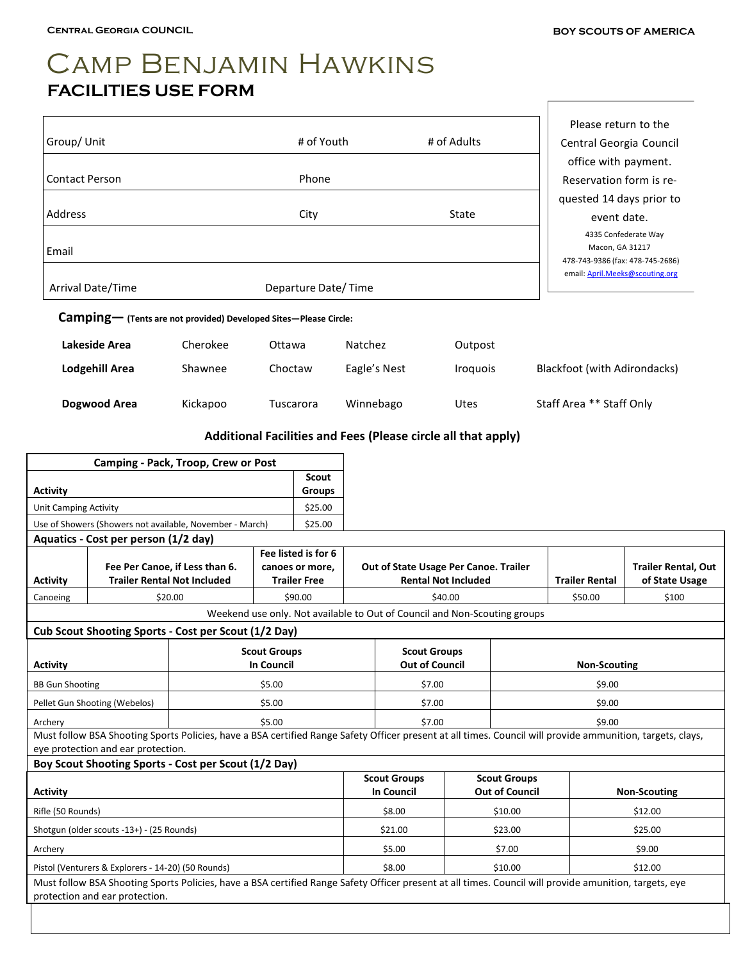## Camp Benjamin Hawkins **FACILITIES USE FORM**

|                       |                                                                  |              | Please return to the                                |
|-----------------------|------------------------------------------------------------------|--------------|-----------------------------------------------------|
| Group/Unit            | # of Youth                                                       | # of Adults  | Central Georgia Council                             |
|                       |                                                                  |              | office with payment.                                |
| <b>Contact Person</b> | Phone                                                            |              | Reservation form is re-                             |
|                       |                                                                  |              | quested 14 days prior to                            |
| Address               | City                                                             | <b>State</b> | event date.                                         |
|                       |                                                                  |              | 4335 Confederate Way                                |
| Email                 |                                                                  |              | Macon, GA 31217<br>478-743-9386 (fax: 478-745-2686) |
|                       |                                                                  |              | email: April.Meeks@scouting.org                     |
| Arrival Date/Time     | Departure Date/Time                                              |              |                                                     |
|                       | Camping- (Tents are not provided) Developed Sites-Please Circle: |              |                                                     |

| Lakeside Area  | Cherokee | Ottawa    | Natchez      | Outpost                       |                              |
|----------------|----------|-----------|--------------|-------------------------------|------------------------------|
| Lodgehill Area | Shawnee  | Choctaw   | Eagle's Nest | <i><u><b>Iroquois</b></u></i> | Blackfoot (with Adirondacks) |
| Dogwood Area   | Kickapoo | Tuscarora | Winnebago    | Utes                          | Staff Area ** Staff Only     |

## **Additional Facilities and Fees (Please circle all that apply)**

| Camping - Pack, Troop, Crew or Post                                                                                                                        |                                                          |                                |                     |                                          |                                              |                                                                           |         |                     |                       |                                              |  |
|------------------------------------------------------------------------------------------------------------------------------------------------------------|----------------------------------------------------------|--------------------------------|---------------------|------------------------------------------|----------------------------------------------|---------------------------------------------------------------------------|---------|---------------------|-----------------------|----------------------------------------------|--|
|                                                                                                                                                            |                                                          |                                |                     | Scout                                    |                                              |                                                                           |         |                     |                       |                                              |  |
| <b>Activity</b>                                                                                                                                            |                                                          | <b>Groups</b>                  |                     |                                          |                                              |                                                                           |         |                     |                       |                                              |  |
| <b>Unit Camping Activity</b>                                                                                                                               |                                                          |                                | \$25.00             |                                          |                                              |                                                                           |         |                     |                       |                                              |  |
|                                                                                                                                                            | Use of Showers (Showers not available, November - March) |                                |                     | \$25.00                                  |                                              |                                                                           |         |                     |                       |                                              |  |
|                                                                                                                                                            | Aquatics - Cost per person (1/2 day)                     |                                |                     |                                          |                                              |                                                                           |         |                     |                       |                                              |  |
|                                                                                                                                                            |                                                          | Fee listed is for 6            |                     |                                          |                                              |                                                                           |         |                     |                       |                                              |  |
| <b>Activity</b>                                                                                                                                            | <b>Trailer Rental Not Included</b>                       | Fee Per Canoe, if Less than 6. |                     | canoes or more,<br><b>Trailer Free</b>   |                                              | Out of State Usage Per Canoe. Trailer<br><b>Rental Not Included</b>       |         |                     | <b>Trailer Rental</b> | <b>Trailer Rental, Out</b><br>of State Usage |  |
|                                                                                                                                                            |                                                          |                                |                     |                                          |                                              |                                                                           |         |                     |                       |                                              |  |
| Canoeing                                                                                                                                                   |                                                          | \$20.00                        |                     | \$90.00                                  |                                              | \$40.00                                                                   |         |                     | \$50.00               | \$100                                        |  |
|                                                                                                                                                            |                                                          |                                |                     |                                          |                                              | Weekend use only. Not available to Out of Council and Non-Scouting groups |         |                     |                       |                                              |  |
|                                                                                                                                                            | Cub Scout Shooting Sports - Cost per Scout (1/2 Day)     |                                |                     |                                          |                                              |                                                                           |         |                     |                       |                                              |  |
|                                                                                                                                                            |                                                          |                                | <b>Scout Groups</b> |                                          |                                              | <b>Scout Groups</b>                                                       |         |                     |                       |                                              |  |
| <b>In Council</b><br><b>Activity</b>                                                                                                                       |                                                          |                                |                     | <b>Out of Council</b>                    |                                              |                                                                           |         | <b>Non-Scouting</b> |                       |                                              |  |
|                                                                                                                                                            | \$5.00<br><b>BB Gun Shooting</b>                         |                                |                     |                                          |                                              | \$7.00                                                                    |         |                     | \$9.00                |                                              |  |
|                                                                                                                                                            | Pellet Gun Shooting (Webelos)                            | \$5.00                         |                     |                                          | \$7.00                                       |                                                                           | \$9.00  |                     |                       |                                              |  |
| Archery<br>\$5.00                                                                                                                                          |                                                          |                                |                     | \$7.00                                   |                                              |                                                                           | \$9.00  |                     |                       |                                              |  |
| Must follow BSA Shooting Sports Policies, have a BSA certified Range Safety Officer present at all times. Council will provide ammunition, targets, clays, |                                                          |                                |                     |                                          |                                              |                                                                           |         |                     |                       |                                              |  |
| eye protection and ear protection.                                                                                                                         |                                                          |                                |                     |                                          |                                              |                                                                           |         |                     |                       |                                              |  |
| Boy Scout Shooting Sports - Cost per Scout (1/2 Day)                                                                                                       |                                                          |                                |                     |                                          |                                              |                                                                           |         |                     |                       |                                              |  |
| <b>Activity</b>                                                                                                                                            |                                                          |                                |                     | <b>Scout Groups</b><br><b>In Council</b> | <b>Scout Groups</b><br><b>Out of Council</b> |                                                                           |         | <b>Non-Scouting</b> |                       |                                              |  |
| Rifle (50 Rounds)                                                                                                                                          |                                                          |                                | \$8.00              |                                          | \$10.00                                      |                                                                           |         | \$12.00             |                       |                                              |  |
| Shotgun (older scouts -13+) - (25 Rounds)                                                                                                                  |                                                          |                                | \$21.00             |                                          | \$23.00                                      |                                                                           |         | \$25.00             |                       |                                              |  |
| Archery                                                                                                                                                    |                                                          |                                |                     | \$5.00<br>\$7.00                         |                                              |                                                                           |         | \$9.00              |                       |                                              |  |
| Pistol (Venturers & Explorers - 14-20) (50 Rounds)                                                                                                         |                                                          |                                |                     | \$8.00<br>\$10.00                        |                                              |                                                                           | \$12.00 |                     |                       |                                              |  |
| Must follow BSA Shooting Sports Policies, have a BSA certified Range Safety Officer present at all times. Council will provide amunition, targets, eye     |                                                          |                                |                     |                                          |                                              |                                                                           |         |                     |                       |                                              |  |
|                                                                                                                                                            | protection and ear protection.                           |                                |                     |                                          |                                              |                                                                           |         |                     |                       |                                              |  |
|                                                                                                                                                            |                                                          |                                |                     |                                          |                                              |                                                                           |         |                     |                       |                                              |  |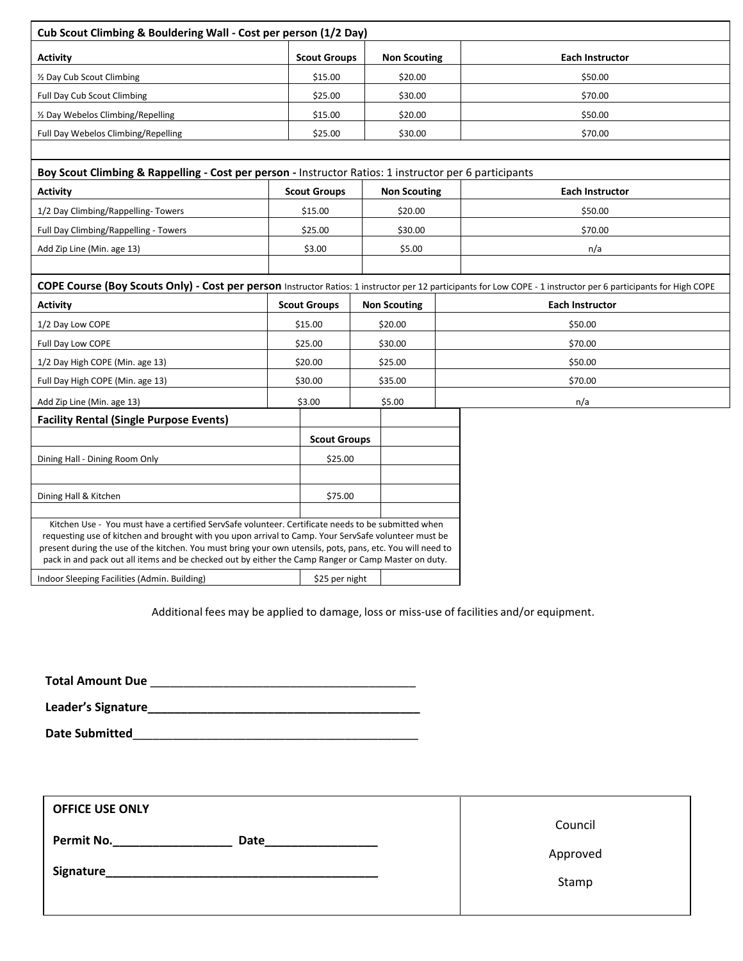| Cub Scout Climbing & Bouldering Wall - Cost per person (1/2 Day)                                                                                                                                                  |                     |                     |  |                     |  |                                                                                                                                                                  |  |  |
|-------------------------------------------------------------------------------------------------------------------------------------------------------------------------------------------------------------------|---------------------|---------------------|--|---------------------|--|------------------------------------------------------------------------------------------------------------------------------------------------------------------|--|--|
| <b>Activity</b>                                                                                                                                                                                                   |                     | <b>Scout Groups</b> |  | <b>Non Scouting</b> |  | <b>Each Instructor</b>                                                                                                                                           |  |  |
| 1/2 Day Cub Scout Climbing                                                                                                                                                                                        |                     | \$15.00             |  | \$20.00             |  | \$50.00                                                                                                                                                          |  |  |
| Full Day Cub Scout Climbing                                                                                                                                                                                       |                     | \$25.00             |  | \$30.00             |  | \$70.00                                                                                                                                                          |  |  |
| 1/2 Day Webelos Climbing/Repelling                                                                                                                                                                                |                     | \$15.00             |  | \$20.00             |  | \$50.00                                                                                                                                                          |  |  |
| Full Day Webelos Climbing/Repelling                                                                                                                                                                               |                     | \$25.00             |  | \$30.00             |  | \$70.00                                                                                                                                                          |  |  |
|                                                                                                                                                                                                                   |                     |                     |  |                     |  |                                                                                                                                                                  |  |  |
| Boy Scout Climbing & Rappelling - Cost per person - Instructor Ratios: 1 instructor per 6 participants                                                                                                            |                     |                     |  |                     |  |                                                                                                                                                                  |  |  |
| <b>Activity</b>                                                                                                                                                                                                   |                     | <b>Scout Groups</b> |  | <b>Non Scouting</b> |  | <b>Each Instructor</b>                                                                                                                                           |  |  |
| 1/2 Day Climbing/Rappelling-Towers                                                                                                                                                                                |                     | \$15.00             |  | \$20.00             |  | \$50.00                                                                                                                                                          |  |  |
| Full Day Climbing/Rappelling - Towers                                                                                                                                                                             |                     | \$25.00             |  | \$30.00             |  | \$70.00                                                                                                                                                          |  |  |
| Add Zip Line (Min. age 13)                                                                                                                                                                                        |                     | \$3.00              |  | \$5.00              |  | n/a                                                                                                                                                              |  |  |
|                                                                                                                                                                                                                   |                     |                     |  |                     |  |                                                                                                                                                                  |  |  |
|                                                                                                                                                                                                                   |                     |                     |  |                     |  | COPE Course (Boy Scouts Only) - Cost per person Instructor Ratios: 1 instructor per 12 participants for Low COPE - 1 instructor per 6 participants for High COPE |  |  |
| <b>Activity</b>                                                                                                                                                                                                   | <b>Scout Groups</b> |                     |  | <b>Non Scouting</b> |  | <b>Each Instructor</b>                                                                                                                                           |  |  |
| 1/2 Day Low COPE                                                                                                                                                                                                  |                     | \$15.00             |  | \$20.00             |  | \$50.00                                                                                                                                                          |  |  |
| Full Day Low COPE                                                                                                                                                                                                 |                     | \$25.00             |  | \$30.00             |  | \$70.00                                                                                                                                                          |  |  |
| 1/2 Day High COPE (Min. age 13)                                                                                                                                                                                   |                     | \$20.00             |  | \$25.00             |  | \$50.00                                                                                                                                                          |  |  |
| Full Day High COPE (Min. age 13)                                                                                                                                                                                  |                     | \$30.00             |  | \$35.00             |  | \$70.00                                                                                                                                                          |  |  |
| Add Zip Line (Min. age 13)                                                                                                                                                                                        |                     | \$3.00              |  | \$5.00              |  | n/a                                                                                                                                                              |  |  |
| <b>Facility Rental (Single Purpose Events)</b>                                                                                                                                                                    |                     |                     |  |                     |  |                                                                                                                                                                  |  |  |
|                                                                                                                                                                                                                   |                     | <b>Scout Groups</b> |  |                     |  |                                                                                                                                                                  |  |  |
| Dining Hall - Dining Room Only                                                                                                                                                                                    |                     | \$25.00             |  |                     |  |                                                                                                                                                                  |  |  |
|                                                                                                                                                                                                                   |                     |                     |  |                     |  |                                                                                                                                                                  |  |  |
| Dining Hall & Kitchen                                                                                                                                                                                             |                     | \$75.00             |  |                     |  |                                                                                                                                                                  |  |  |
|                                                                                                                                                                                                                   |                     |                     |  |                     |  |                                                                                                                                                                  |  |  |
| Kitchen Use - You must have a certified ServSafe volunteer. Certificate needs to be submitted when<br>requesting use of kitchen and brought with you upon arrival to Camp. Your ServSafe volunteer must be        |                     |                     |  |                     |  |                                                                                                                                                                  |  |  |
| present during the use of the kitchen. You must bring your own utensils, pots, pans, etc. You will need to<br>pack in and pack out all items and be checked out by either the Camp Ranger or Camp Master on duty. |                     |                     |  |                     |  |                                                                                                                                                                  |  |  |
| Indoor Sleeping Facilities (Admin. Building)                                                                                                                                                                      |                     | \$25 per night      |  |                     |  |                                                                                                                                                                  |  |  |

Additional fees may be applied to damage, loss or miss-use of facilities and/or equipment.

**Total Amount Due** \_\_\_\_\_\_\_\_\_\_\_\_\_\_\_\_\_\_\_\_\_\_\_\_\_\_\_\_\_\_\_\_\_\_\_\_\_\_\_\_

**Leader's Signature\_\_\_\_\_\_\_\_\_\_\_\_\_\_\_\_\_\_\_\_\_\_\_\_\_\_\_\_\_\_\_\_\_\_\_\_\_\_\_\_\_**

**Date Submitted**\_\_\_\_\_\_\_\_\_\_\_\_\_\_\_\_\_\_\_\_\_\_\_\_\_\_\_\_\_\_\_\_\_\_\_\_\_\_\_\_\_\_\_

| <b>OFFICE USE ONLY</b> |          |  |  |
|------------------------|----------|--|--|
| Permit No.<br>Date     | Council  |  |  |
|                        | Approved |  |  |
| Signature              | Stamp    |  |  |
|                        |          |  |  |